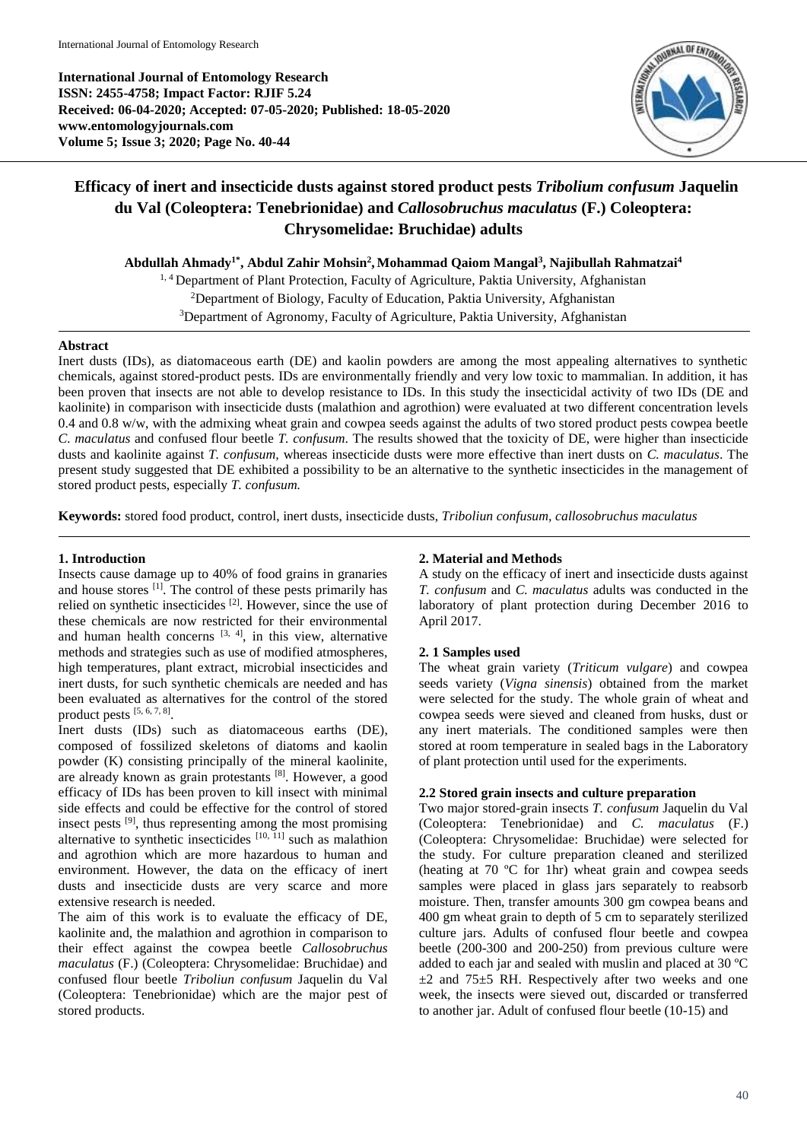**International Journal of Entomology Research ISSN: 2455-4758; Impact Factor: RJIF 5.24 Received: 06-04-2020; Accepted: 07-05-2020; Published: 18-05-2020 www.entomologyjournals.com Volume 5; Issue 3; 2020; Page No. 40-44**



# **Efficacy of inert and insecticide dusts against stored product pests** *Tribolium confusum* **Jaquelin du Val (Coleoptera: Tenebrionidae) and** *Callosobruchus maculatus* **(F.) Coleoptera: Chrysomelidae: Bruchidae) adults**

**Abdullah Ahmady1\* , Abdul Zahir Mohsin<sup>2</sup> , Mohammad Qaiom Mangal<sup>3</sup> , Najibullah Rahmatzai<sup>4</sup>**

<sup>1, 4</sup> Department of Plant Protection, Faculty of Agriculture, Paktia University, Afghanistan <sup>2</sup>Department of Biology, Faculty of Education, Paktia University, Afghanistan <sup>3</sup>Department of Agronomy, Faculty of Agriculture, Paktia University, Afghanistan

# **Abstract**

Inert dusts (IDs), as diatomaceous earth (DE) and kaolin powders are among the most appealing alternatives to synthetic chemicals, against stored-product pests. IDs are environmentally friendly and very low toxic to mammalian. In addition, it has been proven that insects are not able to develop resistance to IDs. In this study the insecticidal activity of two IDs (DE and kaolinite) in comparison with insecticide dusts (malathion and agrothion) were evaluated at two different concentration levels 0.4 and 0.8 w/w, with the admixing wheat grain and cowpea seeds against the adults of two stored product pests cowpea beetle *C. maculatus* and confused flour beetle *T. confusum*. The results showed that the toxicity of DE, were higher than insecticide dusts and kaolinite against *T. confusum,* whereas insecticide dusts were more effective than inert dusts on *C. maculatus*. The present study suggested that DE exhibited a possibility to be an alternative to the synthetic insecticides in the management of stored product pests, especially *T. confusum.*

**Keywords:** stored food product, control, inert dusts, insecticide dusts, *Triboliun confusum, callosobruchus maculatus*

# **1. Introduction**

Insects cause damage up to 40% of food grains in granaries and house stores <sup>[1]</sup>. The control of these pests primarily has relied on synthetic insecticides <sup>[2]</sup>. However, since the use of these chemicals are now restricted for their environmental and human health concerns  $[3, 4]$ , in this view, alternative methods and strategies such as use of modified atmospheres, high temperatures, plant extract, microbial insecticides and inert dusts, for such synthetic chemicals are needed and has been evaluated as alternatives for the control of the stored product pests [5, 6, 7, 8] .

Inert dusts (IDs) such as diatomaceous earths (DE), composed of fossilized skeletons of diatoms and kaolin powder (K) consisting principally of the mineral kaolinite, are already known as grain protestants [8]. However, a good efficacy of IDs has been proven to kill insect with minimal side effects and could be effective for the control of stored insect pests [9], thus representing among the most promising alternative to synthetic insecticides  $[10, 11]$  such as malathion and agrothion which are more hazardous to human and environment. However, the data on the efficacy of inert dusts and insecticide dusts are very scarce and more extensive research is needed.

The aim of this work is to evaluate the efficacy of DE, kaolinite and, the malathion and agrothion in comparison to their effect against the cowpea beetle *Callosobruchus maculatus* (F.) (Coleoptera: Chrysomelidae: Bruchidae) and confused flour beetle *Triboliun confusum* Jaquelin du Val (Coleoptera: Tenebrionidae) which are the major pest of stored products.

# **2. Material and Methods**

A study on the efficacy of inert and insecticide dusts against *T. confusum* and *C. maculatus* adults was conducted in the laboratory of plant protection during December 2016 to April 2017.

# **2. 1 Samples used**

The wheat grain variety (*Triticum vulgare*) and cowpea seeds variety (*Vigna sinensis*) obtained from the market were selected for the study. The whole grain of wheat and cowpea seeds were sieved and cleaned from husks, dust or any inert materials. The conditioned samples were then stored at room temperature in sealed bags in the Laboratory of plant protection until used for the experiments.

# **2.2 Stored grain insects and culture preparation**

Two major stored-grain insects *T. confusum* Jaquelin du Val (Coleoptera: Tenebrionidae) and *C. maculatus* (F.) (Coleoptera: Chrysomelidae: Bruchidae) were selected for the study. For culture preparation cleaned and sterilized (heating at 70 ºC for 1hr) wheat grain and cowpea seeds samples were placed in glass jars separately to reabsorb moisture. Then, transfer amounts 300 gm cowpea beans and 400 gm wheat grain to depth of 5 cm to separately sterilized culture jars. Adults of confused flour beetle and cowpea beetle (200-300 and 200-250) from previous culture were added to each jar and sealed with muslin and placed at 30 ºC  $\pm$ 2 and 75 $\pm$ 5 RH. Respectively after two weeks and one week, the insects were sieved out, discarded or transferred to another jar. Adult of confused flour beetle (10-15) and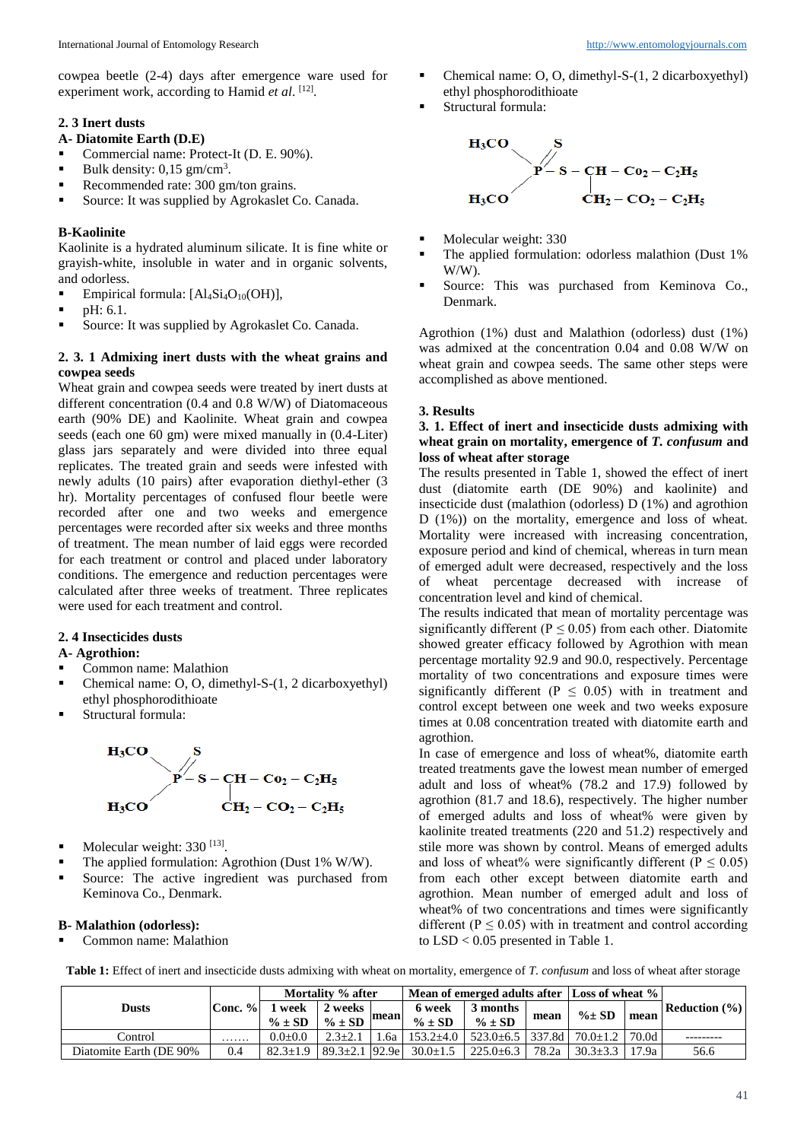cowpea beetle (2-4) days after emergence ware used for experiment work, according to Hamid et al. [12].

#### **2. 3 Inert dusts**

#### **A- Diatomite Earth (D.E)**

- Commercial name: Protect-It (D. E. 90%).<br>
Bulk density: 0.15 sm/cm<sup>3</sup>
- **Bulk density:**  $0,15 \text{ gm/cm}^3$ .
- Recommended rate:  $300 \text{ gm/ton grains.}$ <br>Source: It was supplied by Agrokaslet C
- Source: It was supplied by Agrokaslet Co. Canada.

# **B-Kaolinite**

Kaolinite is a hydrated aluminum silicate. It is fine white or grayish-white, insoluble in water and in organic solvents, and odorless.

- Empirical formula:  $[Al_4Si_4O_{10}(OH)],$
- pH: 6.1.
- **Source:** It was supplied by Agrokaslet Co. Canada.

## **2. 3. 1 Admixing inert dusts with the wheat grains and cowpea seeds**

Wheat grain and cowpea seeds were treated by inert dusts at different concentration (0.4 and 0.8 W/W) of Diatomaceous earth (90% DE) and Kaolinite. Wheat grain and cowpea seeds (each one 60 gm) were mixed manually in (0.4-Liter) glass jars separately and were divided into three equal replicates. The treated grain and seeds were infested with newly adults (10 pairs) after evaporation diethyl-ether (3 hr). Mortality percentages of confused flour beetle were recorded after one and two weeks and emergence percentages were recorded after six weeks and three months of treatment. The mean number of laid eggs were recorded for each treatment or control and placed under laboratory conditions. The emergence and reduction percentages were calculated after three weeks of treatment. Three replicates were used for each treatment and control.

#### **2. 4 Insecticides dusts**

#### **A- Agrothion:**

- Common name: Malathion
- Chemical name: O, O, dimethyl-S-(1, 2 dicarboxyethyl) ethyl phosphorodithioate
- Structural formula:



- $\blacksquare$  Molecular weight: 330 [13].
- The applied formulation: Agrothion (Dust 1% W/W).
- **Source:** The active ingredient was purchased from Keminova Co., Denmark.

#### **B- Malathion (odorless):**

Common name: Malathion

- Chemical name: O, O, dimethyl-S-(1, 2 dicarboxyethyl) ethyl phosphorodithioate
- Structural formula:



- Molecular weight: 330
- The applied formulation: odorless malathion (Dust 1% W/W).
- Source: This was purchased from Keminova Co., Denmark.

Agrothion (1%) dust and Malathion (odorless) dust (1%) was admixed at the concentration 0.04 and 0.08 W/W on wheat grain and cowpea seeds. The same other steps were accomplished as above mentioned.

# **3. Results**

# **3. 1. Effect of inert and insecticide dusts admixing with wheat grain on mortality, emergence of** *T. confusum* **and loss of wheat after storage**

The results presented in Table 1, showed the effect of inert dust (diatomite earth (DE 90%) and kaolinite) and insecticide dust (malathion (odorless) D (1%) and agrothion D (1%)) on the mortality, emergence and loss of wheat. Mortality were increased with increasing concentration, exposure period and kind of chemical, whereas in turn mean of emerged adult were decreased, respectively and the loss of wheat percentage decreased with increase of concentration level and kind of chemical.

The results indicated that mean of mortality percentage was significantly different ( $P \le 0.05$ ) from each other. Diatomite showed greater efficacy followed by Agrothion with mean percentage mortality 92.9 and 90.0, respectively. Percentage mortality of two concentrations and exposure times were significantly different ( $P \leq 0.05$ ) with in treatment and control except between one week and two weeks exposure times at 0.08 concentration treated with diatomite earth and agrothion.

In case of emergence and loss of wheat%, diatomite earth treated treatments gave the lowest mean number of emerged adult and loss of wheat% (78.2 and 17.9) followed by agrothion (81.7 and 18.6), respectively. The higher number of emerged adults and loss of wheat% were given by kaolinite treated treatments (220 and 51.2) respectively and stile more was shown by control. Means of emerged adults and loss of wheat% were significantly different ( $P \le 0.05$ ) from each other except between diatomite earth and agrothion. Mean number of emerged adult and loss of wheat% of two concentrations and times were significantly different ( $P \le 0.05$ ) with in treatment and control according to LSD < 0.05 presented in Table 1.

|                         |           | Mortality % after   |                                              |  | Mean of emerged adults after Loss of wheat %               |                                                   |       |              |       |                      |  |
|-------------------------|-----------|---------------------|----------------------------------------------|--|------------------------------------------------------------|---------------------------------------------------|-------|--------------|-------|----------------------|--|
| Dusts                   | Conc. $%$ | week<br>$\% \pm SD$ | 2 weeks<br>$\%$ ± SD $\vert$ <sup>mean</sup> |  | 6 week<br>$\% \pm SD$                                      | 3 months<br>$\% \pm SD$                           | mean  | $\% \pm SD$  | mean  | <b>Reduction</b> (%) |  |
| Control                 | .         | $0.0 + 0.0$         | $2.3 + 2.1$                                  |  | .6a   153.2 $\pm$ 4.0                                      | $523.0 \pm 6.5$   337.8d   70.0 $\pm 1.2$   70.0d |       |              |       |                      |  |
| Diatomite Earth (DE 90% | 0.4       |                     |                                              |  | $82.3 \pm 1.9$   $89.3 \pm 2.1$   $92.9e$   $30.0 \pm 1.5$ | $225.0 \pm 6.3$                                   | 78.2a | $30.3 + 3.3$ | 17.9a | 56.6                 |  |

**Table 1:** Effect of inert and insecticide dusts admixing with wheat on mortality, emergence of *T. confusum* and loss of wheat after storage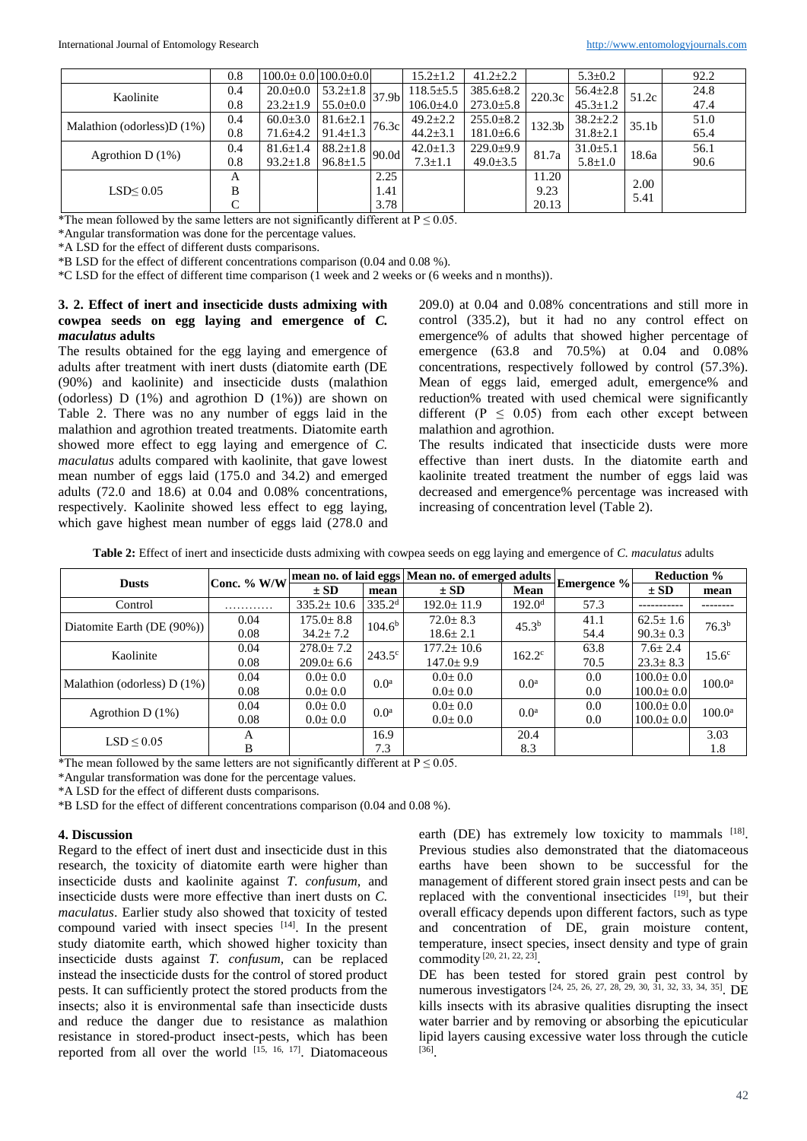|                               | 0.8 | $100.0 \pm 0.0$ $100.0 \pm 0.0$ |                                   |                   | $15.2 \pm 1.2$  | $41.2 \pm 2.2$  |                    | $5.3 \pm 0.2$  |                   | 92.2 |
|-------------------------------|-----|---------------------------------|-----------------------------------|-------------------|-----------------|-----------------|--------------------|----------------|-------------------|------|
| Kaolinite                     | 0.4 | $20.0 \pm 0.0$                  | $53.2 \pm 1.8$                    | 37.9 <sub>b</sub> | $118.5 \pm 5.5$ | $385.6 \pm 8.2$ | 220.3c             | $56.4 \pm 2.8$ | 51.2c             | 24.8 |
|                               | 0.8 | $23.2 \pm 1.9$                  | $55.0 \pm 0.0$                    |                   | $106.0{\pm}4.0$ | $273.0 \pm 5.8$ |                    | $45.3 \pm 1.2$ |                   | 47.4 |
| Malathion (odorless) $D(1\%)$ | 0.4 | $60.0 \pm 3.0$                  | $81.6 \pm 2.1$                    |                   | $49.2 \pm 2.2$  | $255.0 \pm 8.2$ | 132.3 <sub>b</sub> | $38.2 \pm 2.2$ | 35.1 <sub>b</sub> | 51.0 |
|                               | 0.8 | $71.6 \pm 4.2$                  | $\sim 191.4 \pm 1.3$ 76.3c $\sim$ |                   | $44.2 \pm 3.1$  | $181.0 \pm 6.6$ |                    | $31.8 \pm 2.1$ |                   | 65.4 |
| Agrothion D $(1%)$            | 0.4 | $81.6 \pm 1.4$                  | $88.2 \pm 1.8$                    | 90.0d             | $42.0 \pm 1.3$  | $229.0 \pm 9.9$ | 81.7a              | $31.0 \pm 5.1$ | 18.6a             | 56.1 |
|                               | 0.8 | $93.2 \pm 1.8$                  | $96.8 \pm 1.5$                    |                   | $7.3 \pm 1.1$   | $49.0 \pm 3.5$  |                    | $5.8 \pm 1.0$  |                   | 90.6 |
|                               | А   |                                 |                                   | 2.25              |                 |                 | 11.20              |                | 2.00              |      |
| LSD<0.05                      | В   |                                 |                                   | 1.41              |                 |                 | 9.23               |                | 5.41              |      |
|                               | C   |                                 |                                   | 3.78              |                 |                 | 20.13              |                |                   |      |

\*The mean followed by the same letters are not significantly different at  $P \le 0.05$ .

\*Angular transformation was done for the percentage values.

\*A LSD for the effect of different dusts comparisons.

\*B LSD for the effect of different concentrations comparison (0.04 and 0.08 %).

\*C LSD for the effect of different time comparison (1 week and 2 weeks or (6 weeks and n months)).

# **3. 2. Effect of inert and insecticide dusts admixing with cowpea seeds on egg laying and emergence of** *C. maculatus* **adults**

The results obtained for the egg laying and emergence of adults after treatment with inert dusts (diatomite earth (DE (90%) and kaolinite) and insecticide dusts (malathion (odorless) D (1%) and agrothion D (1%)) are shown on Table 2. There was no any number of eggs laid in the malathion and agrothion treated treatments. Diatomite earth showed more effect to egg laying and emergence of *C. maculatus* adults compared with kaolinite, that gave lowest mean number of eggs laid (175.0 and 34.2) and emerged adults (72.0 and 18.6) at 0.04 and 0.08% concentrations, respectively. Kaolinite showed less effect to egg laying, which gave highest mean number of eggs laid (278.0 and

209.0) at 0.04 and 0.08% concentrations and still more in control (335.2), but it had no any control effect on emergence% of adults that showed higher percentage of emergence (63.8 and 70.5%) at 0.04 and 0.08% concentrations, respectively followed by control (57.3%). Mean of eggs laid, emerged adult, emergence% and reduction% treated with used chemical were significantly different ( $P \leq 0.05$ ) from each other except between malathion and agrothion.

The results indicated that insecticide dusts were more effective than inert dusts. In the diatomite earth and kaolinite treated treatment the number of eggs laid was decreased and emergence% percentage was increased with increasing of concentration level (Table 2).

**Table 2:** Effect of inert and insecticide dusts admixing with cowpea seeds on egg laying and emergence of *C. maculatus* adults

| <b>Dusts</b>                  | Conc. % W/W | mean no. of laid eggs Mean no. of emerged adults Emergence % |                    |                  |                    |      | <b>Reduction %</b> |                    |
|-------------------------------|-------------|--------------------------------------------------------------|--------------------|------------------|--------------------|------|--------------------|--------------------|
|                               |             | $\pm$ SD<br>mean                                             |                    | $\pm$ SD         | Mean               |      | $\pm$ SD           | mean               |
| Control                       | .           | $335.2 \pm 10.6$                                             | 335.2 <sup>d</sup> | $192.0 \pm 11.9$ | 192.0 <sup>d</sup> | 57.3 |                    |                    |
| Diatomite Earth (DE (90%))    | 0.04        | $175.0 \pm 8.8$                                              | 104.6 <sup>b</sup> | $72.0 \pm 8.3$   | 45.3 <sup>b</sup>  | 41.1 | $62.5 \pm 1.6$     | 76.3 <sup>b</sup>  |
|                               | 0.08        | $34.2 \pm 7.2$                                               |                    | $18.6 \pm 2.1$   |                    | 54.4 | $90.3 \pm 0.3$     |                    |
| Kaolinite                     | 0.04        | $278.0 \pm 7.2$                                              | $243.5^{\circ}$    | $177.2 \pm 10.6$ | $162.2^{\circ}$    | 63.8 | $7.6 \pm 2.4$      | 15.6 <sup>c</sup>  |
|                               | 0.08        | $209.0 \pm 6.6$                                              |                    | $147.0 \pm 9.9$  |                    | 70.5 | $23.3 \pm 8.3$     |                    |
| Malathion (odorless) $D(1\%)$ | 0.04        | $0.0 \pm 0.0$                                                | 0.0 <sup>a</sup>   | $0.0 \pm 0.0$    | 0.0 <sup>a</sup>   | 0.0  | $100.0 \pm 0.0$    | 100.0 <sup>a</sup> |
|                               | 0.08        | $0.0 \pm 0.0$                                                |                    | $0.0 \pm 0.0$    |                    | 0.0  | $100.0 \pm 0.0$    |                    |
| Agrothion D $(1%)$            | 0.04        | $0.0 \pm 0.0$                                                | 0.0 <sup>a</sup>   | $0.0 \pm 0.0$    | 0.0 <sup>a</sup>   | 0.0  | $100.0 \pm 0.0$    | $100.0^{\rm a}$    |
|                               | 0.08        | $0.0 \pm 0.0$                                                |                    | $0.0 \pm 0.0$    |                    | 0.0  | $100.0 \pm 0.0$    |                    |
| $LSD \leq 0.05$               | А           |                                                              | 16.9               |                  | 20.4               |      |                    | 3.03               |
|                               | B           |                                                              | 7.3                |                  | 8.3                |      |                    | 1.8                |

\*The mean followed by the same letters are not significantly different at  $P \le 0.05$ .

\*Angular transformation was done for the percentage values.

\*A LSD for the effect of different dusts comparisons.

\*B LSD for the effect of different concentrations comparison (0.04 and 0.08 %).

#### **4. Discussion**

Regard to the effect of inert dust and insecticide dust in this research, the toxicity of diatomite earth were higher than insecticide dusts and kaolinite against *T. confusum,* and insecticide dusts were more effective than inert dusts on *C. maculatus*. Earlier study also showed that toxicity of tested compound varied with insect species [14] . In the present study diatomite earth, which showed higher toxicity than insecticide dusts against *T. confusum,* can be replaced instead the insecticide dusts for the control of stored product pests. It can sufficiently protect the stored products from the insects; also it is environmental safe than insecticide dusts and reduce the danger due to resistance as malathion resistance in stored-product insect-pests, which has been reported from all over the world  $[15, 16, 17]$ . Diatomaceous

earth (DE) has extremely low toxicity to mammals [18]. Previous studies also demonstrated that the diatomaceous earths have been shown to be successful for the management of different stored grain insect pests and can be replaced with the conventional insecticides  $[19]$ , but their overall efficacy depends upon different factors, such as type and concentration of DE, grain moisture content, temperature, insect species, insect density and type of grain commodity [20, 21, 22, 23] .

DE has been tested for stored grain pest control by numerous investigators [24, 25, 26, 27, 28, 29, 30, 31, 32, 33, 34, 35]. DE kills insects with its abrasive qualities disrupting the insect water barrier and by removing or absorbing the epicuticular lipid layers causing excessive water loss through the cuticle [36] .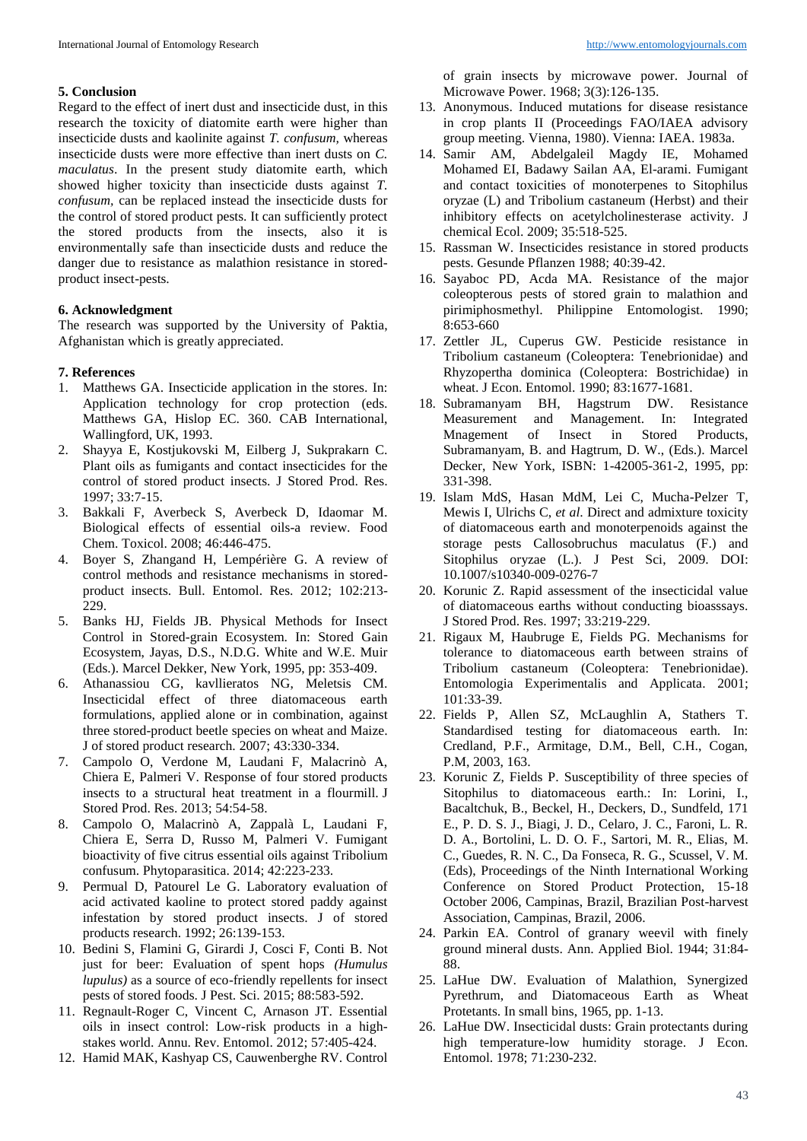#### **5. Conclusion**

Regard to the effect of inert dust and insecticide dust, in this research the toxicity of diatomite earth were higher than insecticide dusts and kaolinite against *T. confusum,* whereas insecticide dusts were more effective than inert dusts on *C. maculatus*. In the present study diatomite earth, which showed higher toxicity than insecticide dusts against *T. confusum,* can be replaced instead the insecticide dusts for the control of stored product pests. It can sufficiently protect the stored products from the insects, also it is environmentally safe than insecticide dusts and reduce the danger due to resistance as malathion resistance in storedproduct insect-pests.

# **6. Acknowledgment**

The research was supported by the University of Paktia, Afghanistan which is greatly appreciated.

#### **7. References**

- 1. Matthews GA. Insecticide application in the stores. In: Application technology for crop protection (eds. Matthews GA, Hislop EC. 360. CAB International, Wallingford, UK, 1993.
- 2. Shayya E, Kostjukovski M, Eilberg J, Sukprakarn C. Plant oils as fumigants and contact insecticides for the control of stored product insects. J Stored Prod. Res. 1997; 33:7-15.
- 3. Bakkali F, Averbeck S, Averbeck D, Idaomar M. Biological effects of essential oils-a review. Food Chem. Toxicol. 2008; 46:446-475.
- 4. Boyer S, Zhangand H, Lempérière G. A review of control methods and resistance mechanisms in storedproduct insects. Bull. Entomol. Res. 2012; 102:213- 229.
- 5. Banks HJ, Fields JB. Physical Methods for Insect Control in Stored-grain Ecosystem. In: Stored Gain Ecosystem, Jayas, D.S., N.D.G. White and W.E. Muir (Eds.). Marcel Dekker, New York, 1995, pp: 353-409.
- 6. Athanassiou CG, kavllieratos NG, Meletsis CM. Insecticidal effect of three diatomaceous earth formulations, applied alone or in combination, against three stored-product beetle species on wheat and Maize. J of stored product research. 2007; 43:330-334.
- 7. Campolo O, Verdone M, Laudani F, Malacrinò A, Chiera E, Palmeri V. Response of four stored products insects to a structural heat treatment in a flourmill. J Stored Prod. Res. 2013; 54:54-58.
- 8. Campolo O, Malacrinò A, Zappalà L, Laudani F, Chiera E, Serra D, Russo M, Palmeri V. Fumigant bioactivity of five citrus essential oils against Tribolium confusum. Phytoparasitica. 2014; 42:223-233.
- 9. Permual D, Patourel Le G. Laboratory evaluation of acid activated kaoline to protect stored paddy against infestation by stored product insects. J of stored products research. 1992; 26:139-153.
- 10. Bedini S, Flamini G, Girardi J, Cosci F, Conti B. Not just for beer: Evaluation of spent hops *(Humulus lupulus)* as a source of eco-friendly repellents for insect pests of stored foods. J Pest. Sci. 2015; 88:583-592.
- 11. Regnault-Roger C, Vincent C, Arnason JT. Essential oils in insect control: Low-risk products in a highstakes world. Annu. Rev. Entomol. 2012; 57:405-424.
- 12. Hamid MAK, Kashyap CS, Cauwenberghe RV. Control

of grain insects by microwave power. Journal of Microwave Power. 1968; 3(3):126-135.

- 13. Anonymous. Induced mutations for disease resistance in crop plants II (Proceedings FAO/IAEA advisory group meeting. Vienna, 1980). Vienna: IAEA. 1983a.
- 14. Samir AM, Abdelgaleil Magdy IE, Mohamed Mohamed EI, Badawy Sailan AA, El-arami. Fumigant and contact toxicities of monoterpenes to Sitophilus oryzae (L) and Tribolium castaneum (Herbst) and their inhibitory effects on acetylcholinesterase activity. J chemical Ecol. 2009; 35:518-525.
- 15. Rassman W. Insecticides resistance in stored products pests. Gesunde Pflanzen 1988; 40:39-42.
- 16. Sayaboc PD, Acda MA. Resistance of the major coleopterous pests of stored grain to malathion and pirimiphosmethyl. Philippine Entomologist. 1990; 8:653-660
- 17. Zettler JL, Cuperus GW. Pesticide resistance in Tribolium castaneum (Coleoptera: Tenebrionidae) and Rhyzopertha dominica (Coleoptera: Bostrichidae) in wheat. J Econ. Entomol. 1990; 83:1677-1681.
- 18. Subramanyam BH, Hagstrum DW. Resistance Measurement and Management. In: Integrated Mnagement of Insect in Stored Products, Subramanyam, B. and Hagtrum, D. W., (Eds.). Marcel Decker, New York, ISBN: 1-42005-361-2, 1995, pp: 331-398.
- 19. Islam MdS, Hasan MdM, Lei C, Mucha-Pelzer T, Mewis I, Ulrichs C, *et al*. Direct and admixture toxicity of diatomaceous earth and monoterpenoids against the storage pests Callosobruchus maculatus (F.) and Sitophilus oryzae (L.). J Pest Sci, 2009. DOI: 10.1007/s10340-009-0276-7
- 20. Korunic Z. Rapid assessment of the insecticidal value of diatomaceous earths without conducting bioasssays. J Stored Prod. Res. 1997; 33:219-229.
- 21. Rigaux M, Haubruge E, Fields PG. Mechanisms for tolerance to diatomaceous earth between strains of Tribolium castaneum (Coleoptera: Tenebrionidae). Entomologia Experimentalis and Applicata. 2001; 101:33-39.
- 22. Fields P, Allen SZ, McLaughlin A, Stathers T. Standardised testing for diatomaceous earth. In: Credland, P.F., Armitage, D.M., Bell, C.H., Cogan, P.M, 2003, 163.
- 23. Korunic Z, Fields P. Susceptibility of three species of Sitophilus to diatomaceous earth.: In: Lorini, I., Bacaltchuk, B., Beckel, H., Deckers, D., Sundfeld, 171 E., P. D. S. J., Biagi, J. D., Celaro, J. C., Faroni, L. R. D. A., Bortolini, L. D. O. F., Sartori, M. R., Elias, M. C., Guedes, R. N. C., Da Fonseca, R. G., Scussel, V. M. (Eds), Proceedings of the Ninth International Working Conference on Stored Product Protection, 15-18 October 2006, Campinas, Brazil, Brazilian Post-harvest Association, Campinas, Brazil, 2006.
- 24. Parkin EA. Control of granary weevil with finely ground mineral dusts. Ann. Applied Biol. 1944; 31:84- 88.
- 25. LaHue DW. Evaluation of Malathion, Synergized Pyrethrum, and Diatomaceous Earth as Wheat Protetants. In small bins, 1965, pp. 1-13.
- 26. LaHue DW. Insecticidal dusts: Grain protectants during high temperature-low humidity storage. J Econ. Entomol. 1978; 71:230-232.